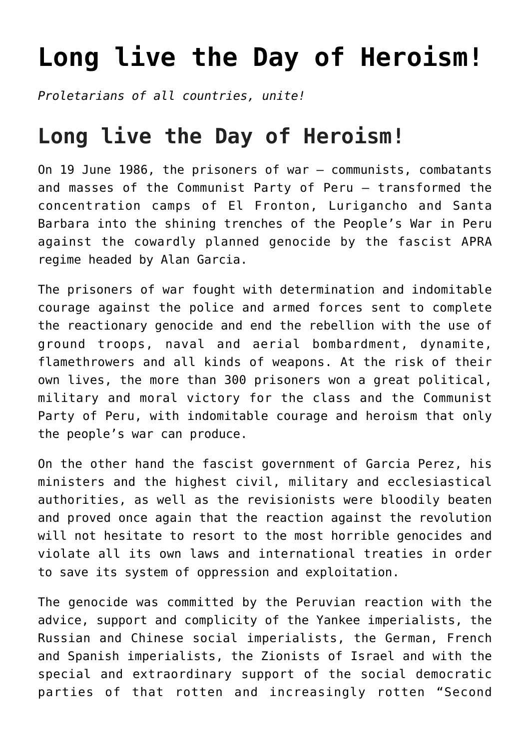## **[Long live the Day of Heroism!](https://ci-ic.org/blog/2022/06/19/long-live-the-day-of-heroism/)**

*Proletarians of all countries, unite!*

## **Long live the Day of Heroism!**

On 19 June 1986, the prisoners of war – communists, combatants and masses of the Communist Party of Peru – transformed the concentration camps of El Fronton, Lurigancho and Santa Barbara into the shining trenches of the People's War in Peru against the cowardly planned genocide by the fascist APRA regime headed by Alan Garcia.

The prisoners of war fought with determination and indomitable courage against the police and armed forces sent to complete the reactionary genocide and end the rebellion with the use of ground troops, naval and aerial bombardment, dynamite, flamethrowers and all kinds of weapons. At the risk of their own lives, the more than 300 prisoners won a great political, military and moral victory for the class and the Communist Party of Peru, with indomitable courage and heroism that only the people's war can produce.

On the other hand the fascist government of Garcia Perez, his ministers and the highest civil, military and ecclesiastical authorities, as well as the revisionists were bloodily beaten and proved once again that the reaction against the revolution will not hesitate to resort to the most horrible genocides and violate all its own laws and international treaties in order to save its system of oppression and exploitation.

The genocide was committed by the Peruvian reaction with the advice, support and complicity of the Yankee imperialists, the Russian and Chinese social imperialists, the German, French and Spanish imperialists, the Zionists of Israel and with the special and extraordinary support of the social democratic parties of that rotten and increasingly rotten "Second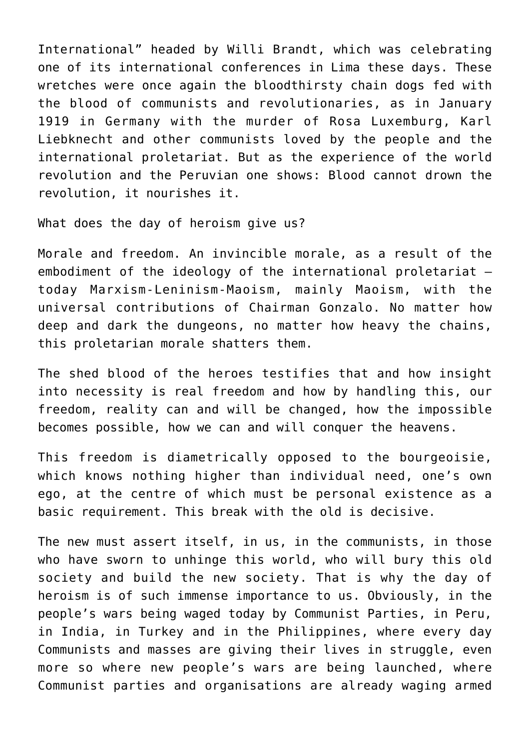International" headed by Willi Brandt, which was celebrating one of its international conferences in Lima these days. These wretches were once again the bloodthirsty chain dogs fed with the blood of communists and revolutionaries, as in January 1919 in Germany with the murder of Rosa Luxemburg, Karl Liebknecht and other communists loved by the people and the international proletariat. But as the experience of the world revolution and the Peruvian one shows: Blood cannot drown the revolution, it nourishes it.

What does the day of heroism give us?

Morale and freedom. An invincible morale, as a result of the embodiment of the ideology of the international proletariat – today Marxism-Leninism-Maoism, mainly Maoism, with the universal contributions of Chairman Gonzalo. No matter how deep and dark the dungeons, no matter how heavy the chains, this proletarian morale shatters them.

The shed blood of the heroes testifies that and how insight into necessity is real freedom and how by handling this, our freedom, reality can and will be changed, how the impossible becomes possible, how we can and will conquer the heavens.

This freedom is diametrically opposed to the bourgeoisie, which knows nothing higher than individual need, one's own ego, at the centre of which must be personal existence as a basic requirement. This break with the old is decisive.

The new must assert itself, in us, in the communists, in those who have sworn to unhinge this world, who will bury this old society and build the new society. That is why the day of heroism is of such immense importance to us. Obviously, in the people's wars being waged today by Communist Parties, in Peru, in India, in Turkey and in the Philippines, where every day Communists and masses are giving their lives in struggle, even more so where new people's wars are being launched, where Communist parties and organisations are already waging armed